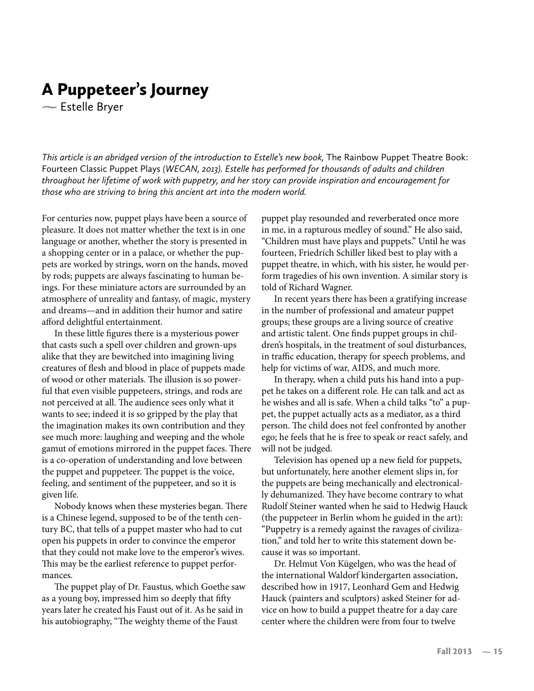## A Puppeteer's Journey

**-** Estelle Bryer

This article is an abridged version of the introduction to Estelle's new book, The Rainbow Puppet Theatre Book: Fourteen Classic Puppet Plays *(WECAN, 2013). Estelle has performed for thousands of adults and children throughout her lifetime of work with puppetry, and her story can provide inspiration and encouragement for those who are striving to bring this ancient art into the modern world.*

For centuries now, puppet plays have been a source of pleasure. It does not matter whether the text is in one language or another, whether the story is presented in a shopping center or in a palace, or whether the puppets are worked by strings, worn on the hands, moved by rods; puppets are always fascinating to human beings. For these miniature actors are surrounded by an atmosphere of unreality and fantasy, of magic, mystery and dreams—and in addition their humor and satire afford delightful entertainment.

In these little figures there is a mysterious power that casts such a spell over children and grown-ups alike that they are bewitched into imagining living creatures of flesh and blood in place of puppets made of wood or other materials. The illusion is so powerful that even visible puppeteers, strings, and rods are not perceived at all. The audience sees only what it wants to see; indeed it is so gripped by the play that the imagination makes its own contribution and they see much more: laughing and weeping and the whole gamut of emotions mirrored in the puppet faces. There is a co-operation of understanding and love between the puppet and puppeteer. The puppet is the voice, feeling, and sentiment of the puppeteer, and so it is given life.

Nobody knows when these mysteries began. There is a Chinese legend, supposed to be of the tenth century BC, that tells of a puppet master who had to cut open his puppets in order to convince the emperor that they could not make love to the emperor's wives. This may be the earliest reference to puppet performances.

The puppet play of Dr. Faustus, which Goethe saw as a young boy, impressed him so deeply that fifty years later he created his Faust out of it. As he said in his autobiography, "The weighty theme of the Faust

puppet play resounded and reverberated once more in me, in a rapturous medley of sound." He also said, "Children must have plays and puppets." Until he was fourteen, Friedrich Schiller liked best to play with a puppet theatre, in which, with his sister, he would perform tragedies of his own invention. A similar story is told of Richard Wagner.

In recent years there has been a gratifying increase in the number of professional and amateur puppet groups; these groups are a living source of creative and artistic talent. One finds puppet groups in children's hospitals, in the treatment of soul disturbances, in traffic education, therapy for speech problems, and help for victims of war, AIDS, and much more.

In therapy, when a child puts his hand into a puppet he takes on a different role. He can talk and act as he wishes and all is safe. When a child talks "to" a puppet, the puppet actually acts as a mediator, as a third person. The child does not feel confronted by another ego; he feels that he is free to speak or react safely, and will not be judged.

Television has opened up a new field for puppets, but unfortunately, here another element slips in, for the puppets are being mechanically and electronically dehumanized. They have become contrary to what Rudolf Steiner wanted when he said to Hedwig Hauck (the puppeteer in Berlin whom he guided in the art): "Puppetry is a remedy against the ravages of civilization," and told her to write this statement down because it was so important.

Dr. Helmut Von Kügelgen, who was the head of the international Waldorf kindergarten association, described how in 1917, Leonhard Gem and Hedwig Hauck (painters and sculptors) asked Steiner for advice on how to build a puppet theatre for a day care center where the children were from four to twelve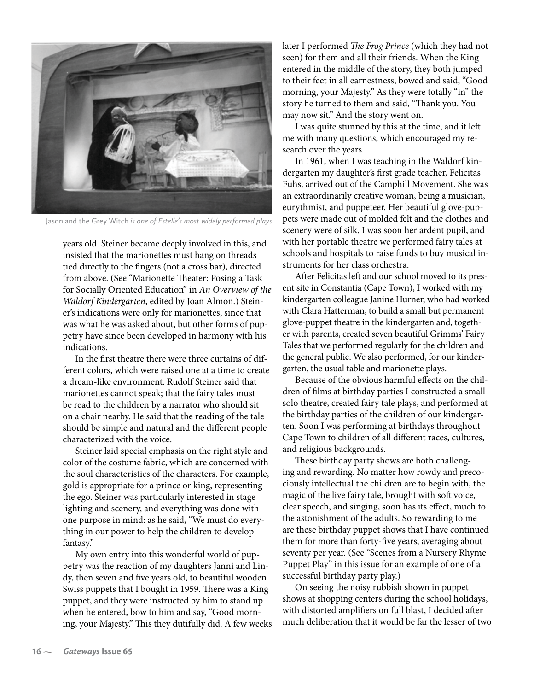

Jason and the Grey Witch *is one of Estelle's most widely performed plays*

years old. Steiner became deeply involved in this, and insisted that the marionettes must hang on threads tied directly to the fingers (not a cross bar), directed from above. (See "Marionette Theater: Posing a Task for Socially Oriented Education" in *An Overview of the Waldorf Kindergarten*, edited by Joan Almon.) Steiner's indications were only for marionettes, since that was what he was asked about, but other forms of puppetry have since been developed in harmony with his indications.

In the first theatre there were three curtains of different colors, which were raised one at a time to create a dream-like environment. Rudolf Steiner said that marionettes cannot speak; that the fairy tales must be read to the children by a narrator who should sit on a chair nearby. He said that the reading of the tale should be simple and natural and the different people characterized with the voice.

Steiner laid special emphasis on the right style and color of the costume fabric, which are concerned with the soul characteristics of the characters. For example, gold is appropriate for a prince or king, representing the ego. Steiner was particularly interested in stage lighting and scenery, and everything was done with one purpose in mind: as he said, "We must do everything in our power to help the children to develop fantasy."

My own entry into this wonderful world of puppetry was the reaction of my daughters Janni and Lindy, then seven and five years old, to beautiful wooden Swiss puppets that I bought in 1959. There was a King puppet, and they were instructed by him to stand up when he entered, bow to him and say, "Good morning, your Majesty." This they dutifully did. A few weeks later I performed *The Frog Prince* (which they had not seen) for them and all their friends. When the King entered in the middle of the story, they both jumped to their feet in all earnestness, bowed and said, "Good morning, your Majesty." As they were totally "in" the story he turned to them and said, "Thank you. You may now sit." And the story went on.

I was quite stunned by this at the time, and it left me with many questions, which encouraged my research over the years.

In 1961, when I was teaching in the Waldorf kindergarten my daughter's first grade teacher, Felicitas Fuhs, arrived out of the Camphill Movement. She was an extraordinarily creative woman, being a musician, eurythmist, and puppeteer. Her beautiful glove-puppets were made out of molded felt and the clothes and scenery were of silk. I was soon her ardent pupil, and with her portable theatre we performed fairy tales at schools and hospitals to raise funds to buy musical instruments for her class orchestra.

After Felicitas left and our school moved to its present site in Constantia (Cape Town), I worked with my kindergarten colleague Janine Hurner, who had worked with Clara Hatterman, to build a small but permanent glove-puppet theatre in the kindergarten and, together with parents, created seven beautiful Grimms' Fairy Tales that we performed regularly for the children and the general public. We also performed, for our kindergarten, the usual table and marionette plays.

Because of the obvious harmful effects on the children of films at birthday parties I constructed a small solo theatre, created fairy tale plays, and performed at the birthday parties of the children of our kindergarten. Soon I was performing at birthdays throughout Cape Town to children of all different races, cultures, and religious backgrounds.

These birthday party shows are both challenging and rewarding. No matter how rowdy and precociously intellectual the children are to begin with, the magic of the live fairy tale, brought with soft voice, clear speech, and singing, soon has its effect, much to the astonishment of the adults. So rewarding to me are these birthday puppet shows that I have continued them for more than forty-five years, averaging about seventy per year. (See "Scenes from a Nursery Rhyme Puppet Play" in this issue for an example of one of a successful birthday party play.)

On seeing the noisy rubbish shown in puppet shows at shopping centers during the school holidays, with distorted amplifiers on full blast, I decided after much deliberation that it would be far the lesser of two